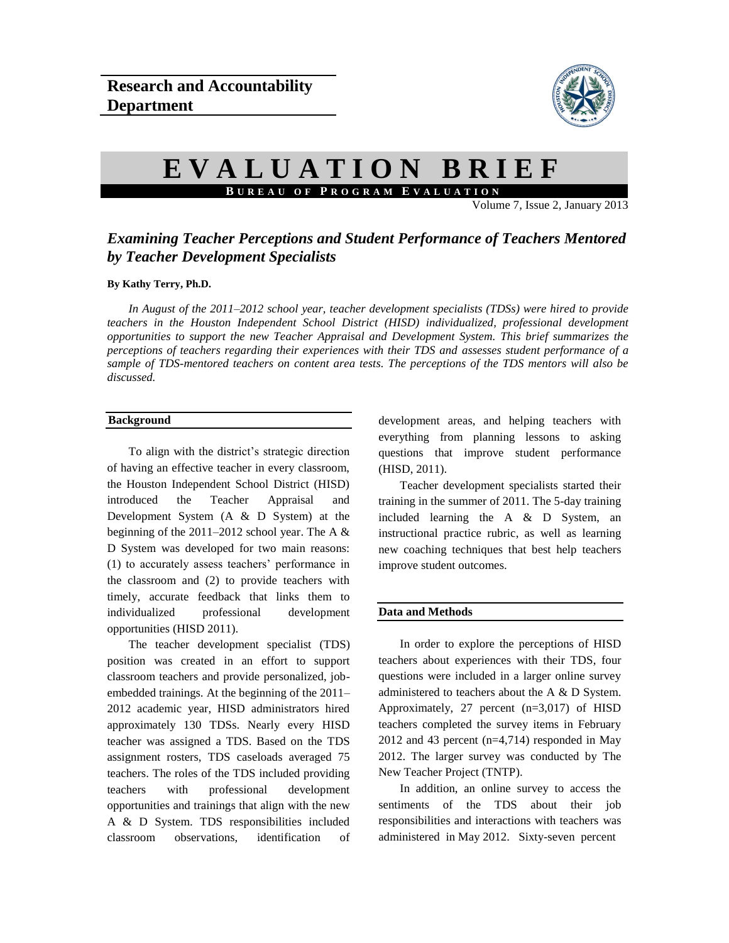

# **E V A L U A T I O N B R I E F B U R E A U O F P R O G R A M E V A L U A T I O N**

Volume 7, Issue 2, January 2013

# *Examining Teacher Perceptions and Student Performance of Teachers Mentored by Teacher Development Specialists*

### **By Kathy Terry, Ph.D.**

*In August of the 2011–2012 school year, teacher development specialists (TDSs) were hired to provide teachers in the Houston Independent School District (HISD) individualized, professional development opportunities to support the new Teacher Appraisal and Development System. This brief summarizes the perceptions of teachers regarding their experiences with their TDS and assesses student performance of a sample of TDS-mentored teachers on content area tests. The perceptions of the TDS mentors will also be discussed.* 

# **Background**

To align with the district's strategic direction of having an effective teacher in every classroom, the Houston Independent School District (HISD) introduced the Teacher Appraisal and Development System (A & D System) at the beginning of the  $2011-2012$  school year. The A  $\&$ D System was developed for two main reasons: (1) to accurately assess teachers' performance in the classroom and (2) to provide teachers with timely, accurate feedback that links them to individualized professional development opportunities (HISD 2011).

The teacher development specialist (TDS) position was created in an effort to support classroom teachers and provide personalized, jobembedded trainings. At the beginning of the 2011– 2012 academic year, HISD administrators hired approximately 130 TDSs. Nearly every HISD teacher was assigned a TDS. Based on the TDS assignment rosters, TDS caseloads averaged 75 teachers. The roles of the TDS included providing teachers with professional development opportunities and trainings that align with the new A & D System. TDS responsibilities included classroom observations, identification of

development areas, and helping teachers with everything from planning lessons to asking questions that improve student performance (HISD, 2011).

Teacher development specialists started their training in the summer of 2011. The 5-day training included learning the A & D System, an instructional practice rubric, as well as learning new coaching techniques that best help teachers improve student outcomes.

#### **Data and Methods**

In order to explore the perceptions of HISD teachers about experiences with their TDS, four questions were included in a larger online survey administered to teachers about the A & D System. Approximately, 27 percent (n=3,017) of HISD teachers completed the survey items in February 2012 and 43 percent (n=4,714) responded in May 2012. The larger survey was conducted by The New Teacher Project (TNTP).

In addition, an online survey to access the sentiments of the TDS about their job responsibilities and interactions with teachers was administered in May 2012. Sixty-seven percent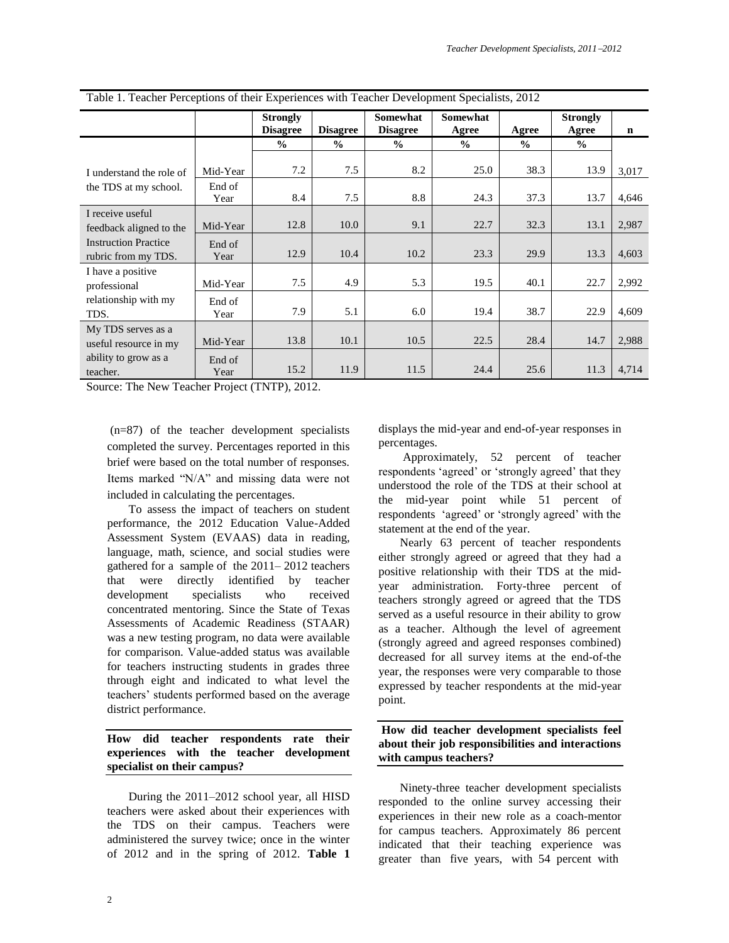|                                                                                                   |                | <b>Strongly</b> |                 | <b>Somewhat</b> | Somewhat      |               | <b>Strongly</b> |             |
|---------------------------------------------------------------------------------------------------|----------------|-----------------|-----------------|-----------------|---------------|---------------|-----------------|-------------|
|                                                                                                   |                | <b>Disagree</b> | <b>Disagree</b> | <b>Disagree</b> | Agree         | Agree         | Agree           | $\mathbf n$ |
|                                                                                                   |                | $\frac{0}{0}$   | $\frac{0}{0}$   | $\frac{0}{0}$   | $\frac{0}{0}$ | $\frac{0}{0}$ | $\frac{0}{0}$   |             |
| I understand the role of<br>the TDS at my school.                                                 | Mid-Year       | 7.2             | 7.5             | 8.2             | 25.0          | 38.3          | 13.9            | 3,017       |
|                                                                                                   | End of<br>Year | 8.4             | 7.5             | 8.8             | 24.3          | 37.3          | 13.7            | 4,646       |
| I receive useful<br>feedback aligned to the<br><b>Instruction Practice</b><br>rubric from my TDS. | Mid-Year       | 12.8            | 10.0            | 9.1             | 22.7          | 32.3          | 13.1            | 2,987       |
|                                                                                                   | End of<br>Year | 12.9            | 10.4            | 10.2            | 23.3          | 29.9          | 13.3            | 4,603       |
| I have a positive<br>professional<br>relationship with my<br>TDS.                                 | Mid-Year       | 7.5             | 4.9             | 5.3             | 19.5          | 40.1          | 22.7            | 2,992       |
|                                                                                                   | End of<br>Year | 7.9             | 5.1             | 6.0             | 19.4          | 38.7          | 22.9            | 4,609       |
| My TDS serves as a<br>useful resource in my<br>ability to grow as a<br>teacher.                   | Mid-Year       | 13.8            | 10.1            | 10.5            | 22.5          | 28.4          | 14.7            | 2,988       |
|                                                                                                   | End of<br>Year | 15.2            | 11.9            | 11.5            | 24.4          | 25.6          | 11.3            | 4,714       |

Table 1. Teacher Perceptions of their Experiences with Teacher Development Specialists, 2012

Source: The New Teacher Project (TNTP), 2012.

(n=87) of the teacher development specialists completed the survey. Percentages reported in this brief were based on the total number of responses. Items marked "N/A" and missing data were not included in calculating the percentages.

To assess the impact of teachers on student performance, the 2012 Education Value-Added Assessment System (EVAAS) data in reading, language, math, science, and social studies were gathered for a sample of the 2011– 2012 teachers that were directly identified by teacher development specialists who received concentrated mentoring. Since the State of Texas Assessments of Academic Readiness (STAAR) was a new testing program, no data were available for comparison. Value-added status was available for teachers instructing students in grades three through eight and indicated to what level the teachers' students performed based on the average district performance.

# **How did teacher respondents rate their experiences with the teacher development specialist on their campus?**

During the 2011–2012 school year, all HISD teachers were asked about their experiences with the TDS on their campus. Teachers were administered the survey twice; once in the winter of 2012 and in the spring of 2012. **Table 1**

displays the mid-year and end-of-year responses in percentages.

Approximately, 52 percent of teacher respondents 'agreed' or 'strongly agreed' that they understood the role of the TDS at their school at the mid-year point while 51 percent of respondents 'agreed' or 'strongly agreed' with the statement at the end of the year.

Nearly 63 percent of teacher respondents either strongly agreed or agreed that they had a positive relationship with their TDS at the midyear administration. Forty-three percent of teachers strongly agreed or agreed that the TDS served as a useful resource in their ability to grow as a teacher. Although the level of agreement (strongly agreed and agreed responses combined) decreased for all survey items at the end-of-the year, the responses were very comparable to those expressed by teacher respondents at the mid-year point.

## **How did teacher development specialists feel about their job responsibilities and interactions with campus teachers?**

Ninety-three teacher development specialists responded to the online survey accessing their experiences in their new role as a coach-mentor for campus teachers. Approximately 86 percent indicated that their teaching experience was greater than five years, with 54 percent with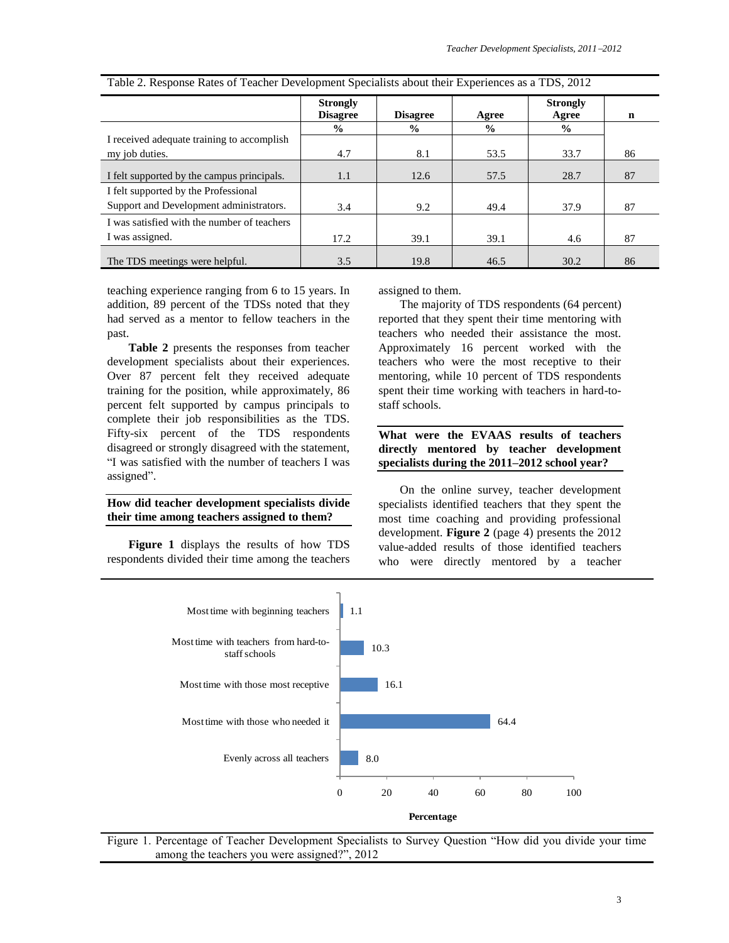|                                             | <b>Strongly</b><br><b>Disagree</b> | <b>Disagree</b> | Agree         | <b>Strongly</b><br>Agree | n  |
|---------------------------------------------|------------------------------------|-----------------|---------------|--------------------------|----|
|                                             | $\frac{6}{6}$                      | $\frac{0}{0}$   | $\frac{0}{0}$ | $\%$                     |    |
| I received adequate training to accomplish  |                                    |                 |               |                          |    |
| my job duties.                              | 4.7                                | 8.1             | 53.5          | 33.7                     | 86 |
| I felt supported by the campus principals.  | 1.1                                | 12.6            | 57.5          | 28.7                     | 87 |
| I felt supported by the Professional        |                                    |                 |               |                          |    |
| Support and Development administrators.     | 3.4                                | 9.2             | 49.4          | 37.9                     | 87 |
| I was satisfied with the number of teachers |                                    |                 |               |                          |    |
| I was assigned.                             | 17.2                               | 39.1            | 39.1          | 4.6                      | 87 |
| The TDS meetings were helpful.              | 3.5                                | 19.8            | 46.5          | 30.2                     | 86 |

Table 2. Response Rates of Teacher Development Specialists about their Experiences as a TDS, 2012

teaching experience ranging from 6 to 15 years. In addition, 89 percent of the TDSs noted that they had served as a mentor to fellow teachers in the past.

**Table 2** presents the responses from teacher development specialists about their experiences. Over 87 percent felt they received adequate training for the position, while approximately, 86 percent felt supported by campus principals to complete their job responsibilities as the TDS. Fifty-six percent of the TDS respondents disagreed or strongly disagreed with the statement, "I was satisfied with the number of teachers I was assigned".

# **How did teacher development specialists divide their time among teachers assigned to them?**

**Figure 1** displays the results of how TDS respondents divided their time among the teachers assigned to them.

The majority of TDS respondents (64 percent) reported that they spent their time mentoring with teachers who needed their assistance the most. Approximately 16 percent worked with the teachers who were the most receptive to their mentoring, while 10 percent of TDS respondents spent their time working with teachers in hard-tostaff schools.

**What were the EVAAS results of teachers directly mentored by teacher development specialists during the 2011–2012 school year?**

On the online survey, teacher development specialists identified teachers that they spent the most time coaching and providing professional development. **Figure 2** (page 4) presents the 2012 value-added results of those identified teachers who were directly mentored by a teacher



Figure 1. Percentage of Teacher Development Specialists to Survey Question "How did you divide your time among the teachers you were assigned?", 2012